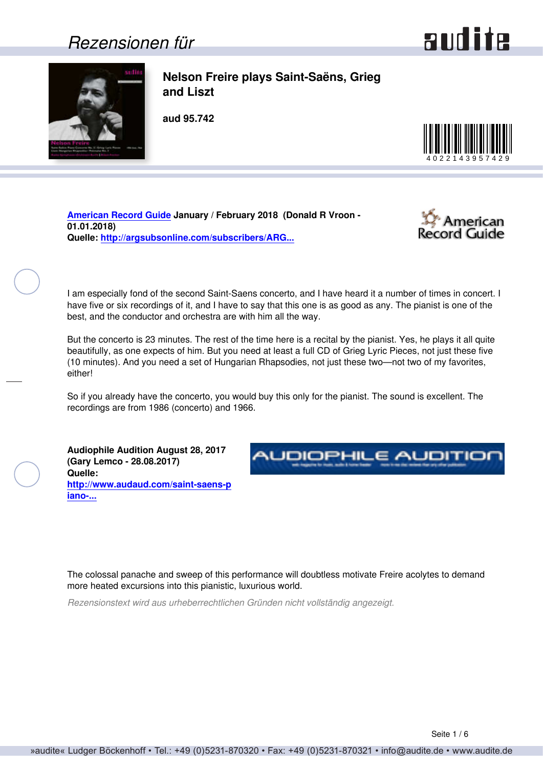### *Rezensionen für*



<span id="page-0-0"></span>

**Nelson Freire plays Saint-Saëns, Grieg and Liszt**

**aud 95.742**



**[American Record Guide](http://www.americanrecordguide.com) January / February 2018 (Donald R Vroon - 01.01.2018) Quelle: [http://argsubsonline.com/subscribers/ARG...](http://argsubsonline.com/subscribers/ARG1801.pdf)**



I am especially fond of the second Saint-Saens concerto, and I have heard it a number of times in concert. I have five or six recordings of it, and I have to say that this one is as good as any. The pianist is one of the best, and the conductor and orchestra are with him all the way.

But the concerto is 23 minutes. The rest of the time here is a recital by the pianist. Yes, he plays it all quite beautifully, as one expects of him. But you need at least a full CD of Grieg Lyric Pieces, not just these five (10 minutes). And you need a set of Hungarian Rhapsodies, not just these two—not two of my favorites, either!

So if you already have the concerto, you would buy this only for the pianist. The sound is excellent. The recordings are from 1986 (concerto) and 1966.

**Audiophile Audition August 28, 2017 (Gary Lemco - 28.08.2017) Quelle: [http://www.audaud.com/saint-saens-p](http://www.audaud.com/saint-saens-piano-concerto-grieg-lyric-pieces-liszt-hungarian-rhapsodies-polonaise-nelson-freire-piano-rad) [iano-...](http://www.audaud.com/saint-saens-piano-concerto-grieg-lyric-pieces-liszt-hungarian-rhapsodies-polonaise-nelson-freire-piano-rad)**



The colossal panache and sweep of this performance will doubtless motivate Freire acolytes to demand more heated excursions into this pianistic, luxurious world.

*Rezensionstext wird aus urheberrechtlichen Gründen nicht vollständig angezeigt.*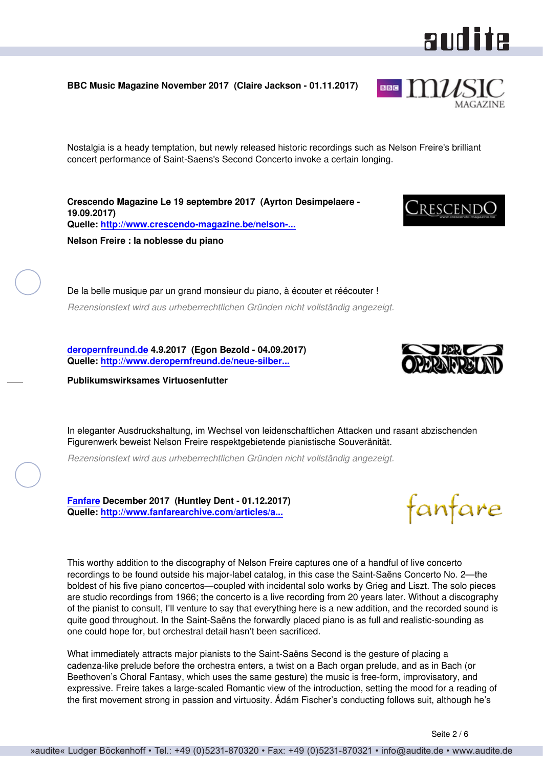<span id="page-1-0"></span>**BBC Music Magazine November 2017 (Claire Jackson - 01.11.2017)**

Nostalgia is a heady temptation, but newly released historic recordings such as Nelson Freire's brilliant concert performance of Saint-Saens's Second Concerto invoke a certain longing.

**Crescendo Magazine Le 19 septembre 2017 (Ayrton Desimpelaere - 19.09.2017) Quelle: [http://www.crescendo-magazine.be/nelson-...](http://www.crescendo-magazine.be/nelson-freire-noblesse-piano/) Nelson Freire : la noblesse du piano**

De la belle musique par un grand monsieur du piano, à écouter et réécouter ! *Rezensionstext wird aus urheberrechtlichen Gründen nicht vollständig angezeigt.*

**[deropernfreund.de](http://www.deropernfreund.de) 4.9.2017 (Egon Bezold - 04.09.2017) Quelle: [http://www.deropernfreund.de/neue-silber...](http://www.deropernfreund.de/neue-silberscheiben.html)**

**Publikumswirksames Virtuosenfutter**

In eleganter Ausdruckshaltung, im Wechsel von leidenschaftlichen Attacken und rasant abzischenden Figurenwerk beweist Nelson Freire respektgebietende pianistische Souveränität.

*Rezensionstext wird aus urheberrechtlichen Gründen nicht vollständig angezeigt.*

**[Fanfare](http://www.fanfaremag.com/) December 2017 (Huntley Dent - 01.12.2017) Quelle: [http://www.fanfarearchive.com/articles/a...](http://www.fanfarearchive.com/articles/atop/41_3/4133200.az_SAINT_SAENS_Piano_Concerto.html)**

This worthy addition to the discography of Nelson Freire captures one of a handful of live concerto recordings to be found outside his major-label catalog, in this case the Saint-Saëns Concerto No. 2—the boldest of his five piano concertos—coupled with incidental solo works by Grieg and Liszt. The solo pieces are studio recordings from 1966; the concerto is a live recording from 20 years later. Without a discography of the pianist to consult, I'll venture to say that everything here is a new addition, and the recorded sound is quite good throughout. In the Saint-Saëns the forwardly placed piano is as full and realistic-sounding as one could hope for, but orchestral detail hasn't been sacrificed.

What immediately attracts major pianists to the Saint-Saëns Second is the gesture of placing a cadenza-like prelude before the orchestra enters, a twist on a Bach organ prelude, and as in Bach (or Beethoven's Choral Fantasy, which uses the same gesture) the music is free-form, improvisatory, and expressive. Freire takes a large-scaled Romantic view of the introduction, setting the mood for a reading of the first movement strong in passion and virtuosity. Ádám Fischer's conducting follows suit, although he's



fanfare



aud ite

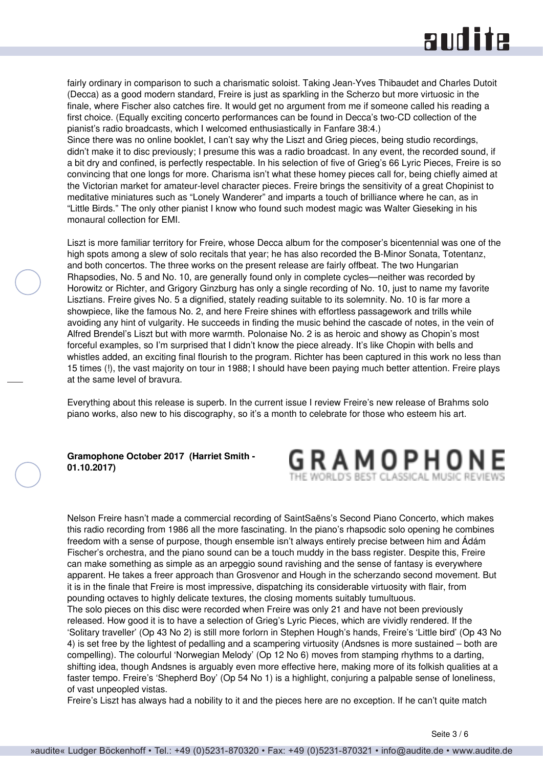### **RUD ite**

<span id="page-2-0"></span>fairly ordinary in comparison to such a charismatic soloist. Taking Jean-Yves Thibaudet and Charles Dutoit (Decca) as a good modern standard, Freire is just as sparkling in the Scherzo but more virtuosic in the finale, where Fischer also catches fire. It would get no argument from me if someone called his reading a first choice. (Equally exciting concerto performances can be found in Decca's two-CD collection of the pianist's radio broadcasts, which I welcomed enthusiastically in Fanfare 38:4.)

Since there was no online booklet, I can't say why the Liszt and Grieg pieces, being studio recordings, didn't make it to disc previously; I presume this was a radio broadcast. In any event, the recorded sound, if a bit dry and confined, is perfectly respectable. In his selection of five of Grieg's 66 Lyric Pieces, Freire is so convincing that one longs for more. Charisma isn't what these homey pieces call for, being chiefly aimed at the Victorian market for amateur-level character pieces. Freire brings the sensitivity of a great Chopinist to meditative miniatures such as "Lonely Wanderer" and imparts a touch of brilliance where he can, as in "Little Birds." The only other pianist I know who found such modest magic was Walter Gieseking in his monaural collection for EMI.

Liszt is more familiar territory for Freire, whose Decca album for the composer's bicentennial was one of the high spots among a slew of solo recitals that year; he has also recorded the B-Minor Sonata, Totentanz, and both concertos. The three works on the present release are fairly offbeat. The two Hungarian Rhapsodies, No. 5 and No. 10, are generally found only in complete cycles—neither was recorded by Horowitz or Richter, and Grigory Ginzburg has only a single recording of No. 10, just to name my favorite Lisztians. Freire gives No. 5 a dignified, stately reading suitable to its solemnity. No. 10 is far more a showpiece, like the famous No. 2, and here Freire shines with effortless passagework and trills while avoiding any hint of vulgarity. He succeeds in finding the music behind the cascade of notes, in the vein of Alfred Brendel's Liszt but with more warmth. Polonaise No. 2 is as heroic and showy as Chopin's most forceful examples, so I'm surprised that I didn't know the piece already. It's like Chopin with bells and whistles added, an exciting final flourish to the program. Richter has been captured in this work no less than 15 times (!), the vast majority on tour in 1988; I should have been paying much better attention. Freire plays at the same level of bravura.

Everything about this release is superb. In the current issue I review Freire's new release of Brahms solo piano works, also new to his discography, so it's a month to celebrate for those who esteem his art.

#### **Gramophone October 2017 (Harriet Smith - 01.10.2017)**



Nelson Freire hasn't made a commercial recording of SaintSaëns's Second Piano Concerto, which makes this radio recording from 1986 all the more fascinating. In the piano's rhapsodic solo opening he combines freedom with a sense of purpose, though ensemble isn't always entirely precise between him and Ádám Fischer's orchestra, and the piano sound can be a touch muddy in the bass register. Despite this, Freire can make something as simple as an arpeggio sound ravishing and the sense of fantasy is everywhere apparent. He takes a freer approach than Grosvenor and Hough in the scherzando second movement. But it is in the finale that Freire is most impressive, dispatching its considerable virtuosity with flair, from pounding octaves to highly delicate textures, the closing moments suitably tumultuous.

The solo pieces on this disc were recorded when Freire was only 21 and have not been previously released. How good it is to have a selection of Grieg's Lyric Pieces, which are vividly rendered. If the 'Solitary traveller' (Op 43 No 2) is still more forlorn in Stephen Hough's hands, Freire's 'Little bird' (Op 43 No 4) is set free by the lightest of pedalling and a scampering virtuosity (Andsnes is more sustained – both are compelling). The colourful 'Norwegian Melody' (Op 12 No 6) moves from stamping rhythms to a darting, shifting idea, though Andsnes is arguably even more effective here, making more of its folkish qualities at a faster tempo. Freire's 'Shepherd Boy' (Op 54 No 1) is a highlight, conjuring a palpable sense of loneliness, of vast unpeopled vistas.

Freire's Liszt has always had a nobility to it and the pieces here are no exception. If he can't quite match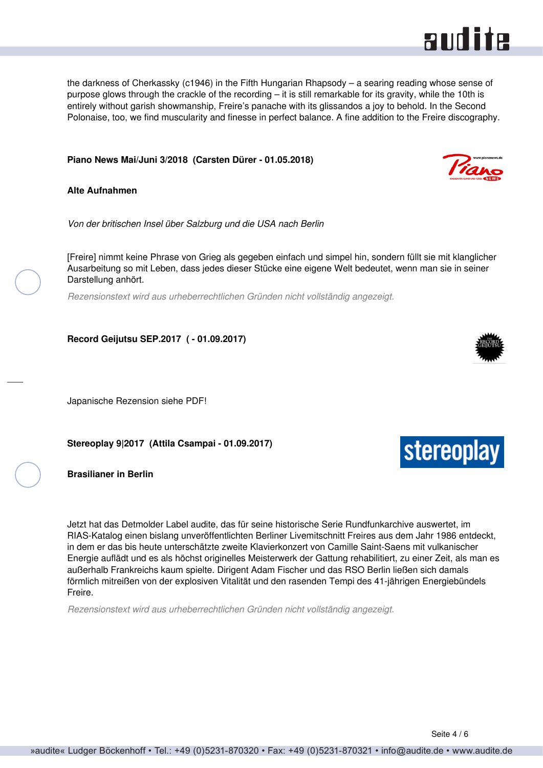<span id="page-3-0"></span>the darkness of Cherkassky (c1946) in the Fifth Hungarian Rhapsody – a searing reading whose sense of purpose glows through the crackle of the recording – it is still remarkable for its gravity, while the 10th is entirely without garish showmanship, Freire's panache with its glissandos a joy to behold. In the Second Polonaise, too, we find muscularity and finesse in perfect balance. A fine addition to the Freire discography.

#### **Piano News Mai/Juni 3/2018 (Carsten Dürer - 01.05.2018)**

**Alte Aufnahmen**

*Von der britischen Insel über Salzburg und die USA nach Berlin*

[Freire] nimmt keine Phrase von Grieg als gegeben einfach und simpel hin, sondern füllt sie mit klanglicher Ausarbeitung so mit Leben, dass jedes dieser Stücke eine eigene Welt bedeutet, wenn man sie in seiner Darstellung anhört.

*Rezensionstext wird aus urheberrechtlichen Gründen nicht vollständig angezeigt.*

**Record Geijutsu SEP.2017 ( - 01.09.2017)**

Japanische Rezension siehe PDF!

**Stereoplay 9|2017 (Attila Csampai - 01.09.2017)**

**Brasilianer in Berlin**

Jetzt hat das Detmolder Label audite, das für seine historische Serie Rundfunkarchive auswertet, im RIAS-Katalog einen bislang unveröffentlichten Berliner Livemitschnitt Freires aus dem Jahr 1986 entdeckt, in dem er das bis heute unterschätzte zweite Klavierkonzert von Camille Saint-Saens mit vulkanischer Energie auflädt und es als höchst originelles Meisterwerk der Gattung rehabilitiert, zu einer Zeit, als man es außerhalb Frankreichs kaum spielte. Dirigent Adam Fischer und das RSO Berlin ließen sich damals förmlich mitreißen von der explosiven Vitalität und den rasenden Tempi des 41-jährigen Energiebündels Freire.

*Rezensionstext wird aus urheberrechtlichen Gründen nicht vollständig angezeigt.*







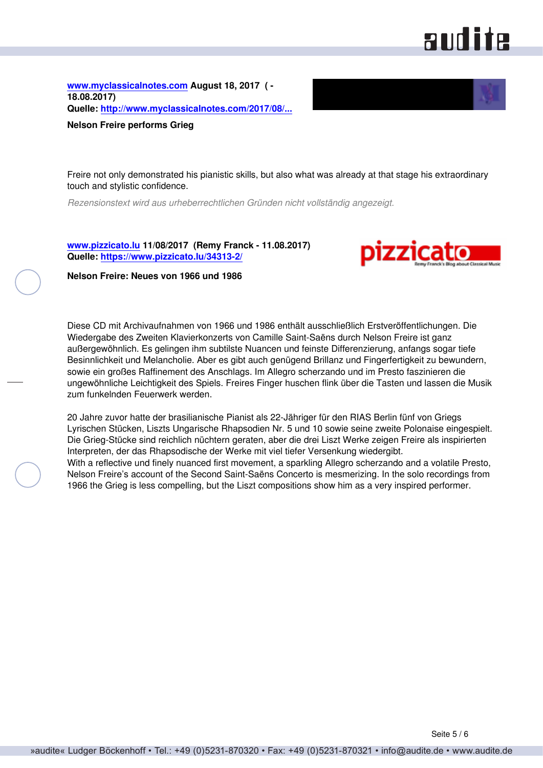# **audite**

<span id="page-4-0"></span>**[www.myclassicalnotes.com](http://www.myclassicalnotes.com) August 18, 2017 ( - 18.08.2017) Quelle: [http://www.myclassicalnotes.com/2017/08/...](http://www.myclassicalnotes.com/2017/08/nelson-freire-performs-grieg/)**



**Nelson Freire performs Grieg**

Freire not only demonstrated his pianistic skills, but also what was already at that stage his extraordinary touch and stylistic confidence.

*Rezensionstext wird aus urheberrechtlichen Gründen nicht vollständig angezeigt.*

**[www.pizzicato.lu](http://www.pizzicato.lu) 11/08/2017 (Remy Franck - 11.08.2017) Quelle:<https://www.pizzicato.lu/34313-2/>**



**Nelson Freire: Neues von 1966 und 1986**

Diese CD mit Archivaufnahmen von 1966 und 1986 enthält ausschließlich Erstveröffentlichungen. Die Wiedergabe des Zweiten Klavierkonzerts von Camille Saint-Saëns durch Nelson Freire ist ganz außergewöhnlich. Es gelingen ihm subtilste Nuancen und feinste Differenzierung, anfangs sogar tiefe Besinnlichkeit und Melancholie. Aber es gibt auch genügend Brillanz und Fingerfertigkeit zu bewundern, sowie ein großes Raffinement des Anschlags. Im Allegro scherzando und im Presto faszinieren die ungewöhnliche Leichtigkeit des Spiels. Freires Finger huschen flink über die Tasten und lassen die Musik zum funkelnden Feuerwerk werden.

20 Jahre zuvor hatte der brasilianische Pianist als 22-Jähriger für den RIAS Berlin fünf von Griegs Lyrischen Stücken, Liszts Ungarische Rhapsodien Nr. 5 und 10 sowie seine zweite Polonaise eingespielt. Die Grieg-Stücke sind reichlich nüchtern geraten, aber die drei Liszt Werke zeigen Freire als inspirierten Interpreten, der das Rhapsodische der Werke mit viel tiefer Versenkung wiedergibt. With a reflective und finely nuanced first movement, a sparkling Allegro scherzando and a volatile Presto, Nelson Freire's account of the Second Saint-Saëns Concerto is mesmerizing. In the solo recordings from 1966 the Grieg is less compelling, but the Liszt compositions show him as a very inspired performer.